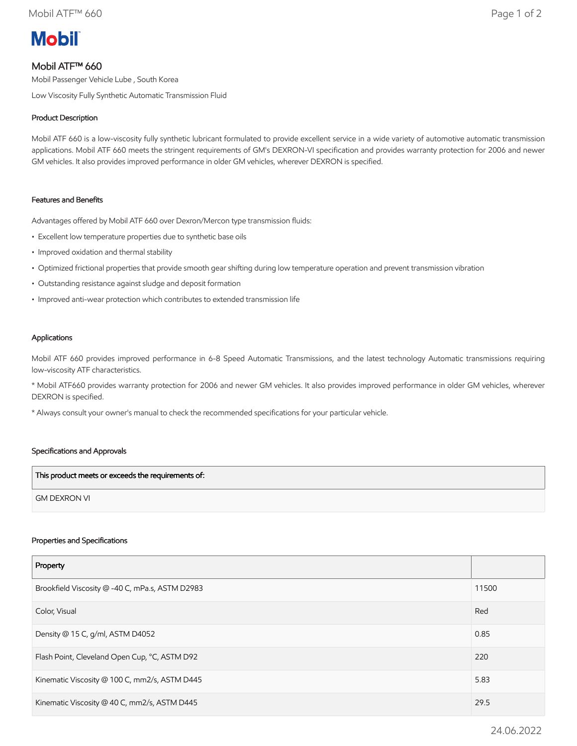

# Mobil ATF™ 660

Mobil Passenger Vehicle Lube , South Korea

Low Viscosity Fully Synthetic Automatic Transmission Fluid

# Product Description

Mobil ATF 660 is a low-viscosity fully synthetic lubricant formulated to provide excellent service in a wide variety of automotive automatic transmission applications. Mobil ATF 660 meets the stringent requirements of GM's DEXRON-VI specification and provides warranty protection for 2006 and newer GM vehicles. It also provides improved performance in older GM vehicles, wherever DEXRON is specified.

## Features and Benefits

Advantages offered by Mobil ATF 660 over Dexron/Mercon type transmission fluids:

- Excellent low temperature properties due to synthetic base oils
- Improved oxidation and thermal stability
- Optimized frictional properties that provide smooth gear shifting during low temperature operation and prevent transmission vibration
- Outstanding resistance against sludge and deposit formation
- Improved anti-wear protection which contributes to extended transmission life

## Applications

Mobil ATF 660 provides improved performance in 6-8 Speed Automatic Transmissions, and the latest technology Automatic transmissions requiring low-viscosity ATF characteristics.

\* Mobil ATF660 provides warranty protection for 2006 and newer GM vehicles. It also provides improved performance in older GM vehicles, wherever DEXRON is specified.

\* Always consult your owner's manual to check the recommended specifications for your particular vehicle.

#### Specifications and Approvals

| This product meets or exceeds the requirements of: |  |
|----------------------------------------------------|--|
| <b>GM DEXRON VI</b>                                |  |

#### Properties and Specifications

| Property                                        |       |
|-------------------------------------------------|-------|
| Brookfield Viscosity @ -40 C, mPa.s, ASTM D2983 | 11500 |
| Color, Visual                                   | Red   |
| Density @ 15 C, g/ml, ASTM D4052                | 0.85  |
| Flash Point, Cleveland Open Cup, °C, ASTM D92   | 220   |
| Kinematic Viscosity @ 100 C, mm2/s, ASTM D445   | 5.83  |
| Kinematic Viscosity @ 40 C, mm2/s, ASTM D445    | 29.5  |